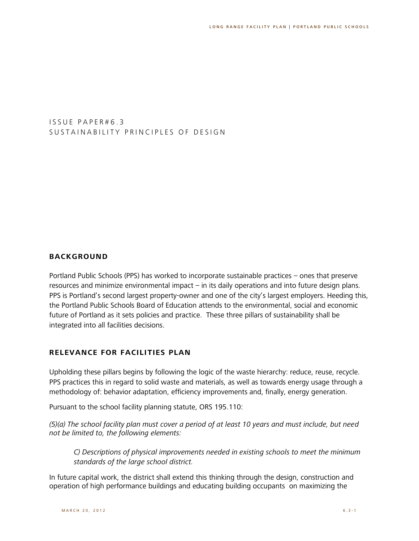I S S U E P A P E R # 6 . 3 SUSTAINABILITY PRINCIPLES OF DESIGN

### **BACKGROUND**

Portland Public Schools (PPS) has worked to incorporate sustainable practices – ones that preserve resources and minimize environmental impact – in its daily operations and into future design plans. PPS is Portland's second largest property-owner and one of the city's largest employers. Heeding this, the Portland Public Schools Board of Education attends to the environmental, social and economic future of Portland as it sets policies and practice. These three pillars of sustainability shall be integrated into all facilities decisions.

#### **RELEVANCE FOR FACILITIES PLAN**

Upholding these pillars begins by following the logic of the waste hierarchy: reduce, reuse, recycle. PPS practices this in regard to solid waste and materials, as well as towards energy usage through a methodology of: behavior adaptation, efficiency improvements and, finally, energy generation.

Pursuant to the school facility planning statute, ORS 195.110:

*(5)(a) The school facility plan must cover a period of at least 10 years and must include, but need not be limited to, the following elements:*

*C) Descriptions of physical improvements needed in existing schools to meet the minimum standards of the large school district.*

In future capital work, the district shall extend this thinking through the design, construction and operation of high performance buildings and educating building occupants on maximizing the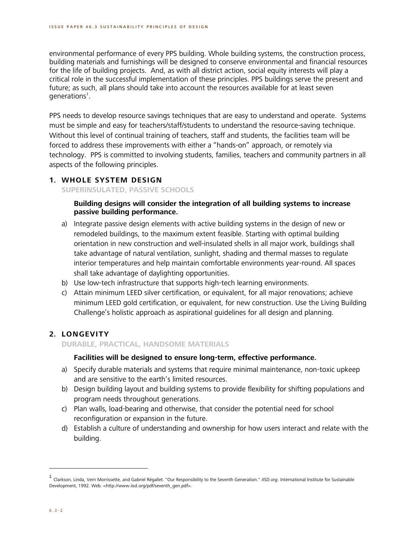environmental performance of every PPS building. Whole building systems, the construction process, building materials and furnishings will be designed to conserve environmental and financial resources for the life of building projects. And, as with all district action, social equity interests will play a critical role in the successful implementation of these principles. PPS buildings serve the present and future; as such, all plans should take into account the resources available for at least seven generations<sup>1</sup>.

PPS needs to develop resource savings techniques that are easy to understand and operate. Systems must be simple and easy for teachers/staff/students to understand the resource-saving technique. Without this level of continual training of teachers, staff and students, the facilities team will be forced to address these improvements with either a "hands-on" approach, or remotely via technology. PPS is committed to involving students, families, teachers and community partners in all aspects of the following principles.

#### **1. WHOLE SYSTEM DESIGN**

**SUPERINSULATED, PASSIVE SCHOOLS**

### **Building designs will consider the integration of all building systems to increase passive building performance.**

- a) Integrate passive design elements with active building systems in the design of new or remodeled buildings, to the maximum extent feasible. Starting with optimal building orientation in new construction and well-insulated shells in all major work, buildings shall take advantage of natural ventilation, sunlight, shading and thermal masses to regulate interior temperatures and help maintain comfortable environments year-round. All spaces shall take advantage of daylighting opportunities.
- b) Use low-tech infrastructure that supports high-tech learning environments.
- c) Attain minimum LEED silver certification, or equivalent, for all major renovations; achieve minimum LEED gold certification, or equivalent, for new construction. Use the Living Building Challenge's holistic approach as aspirational guidelines for all design and planning.

# **2. LONGEVITY**

**DURABLE, PRACTICAL, HANDSOME MATERIALS**

## **Facilities will be designed to ensure long-term, effective performance.**

- a) Specify durable materials and systems that require minimal maintenance, non-toxic upkeep and are sensitive to the earth's limited resources.
- b) Design building layout and building systems to provide flexibility for shifting populations and program needs throughout generations.
- c) Plan walls, load-bearing and otherwise, that consider the potential need for school reconfiguration or expansion in the future.
- d) Establish a culture of understanding and ownership for how users interact and relate with the building.

<sup>1</sup> Clarkson, Linda, Vern Morrissette, and Gabriel Régallet. "Our Responsibility to the Seventh Generation." *IISD.org*. International Institute for Sustainable Development, 1992. Web. <http://www.iisd.org/pdf/seventh\_gen.pdf>.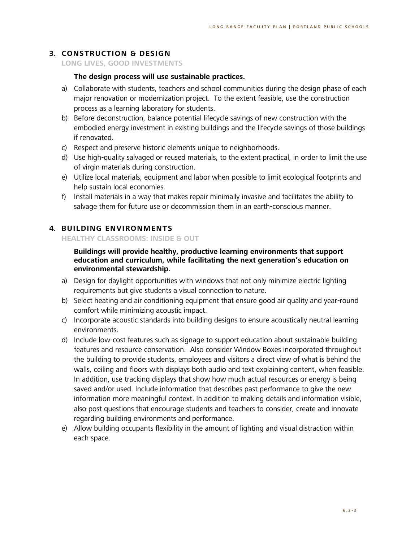### **3. CONSTRUCTION & DESIGN**

**LONG LIVES, GOOD INVESTMENTS**

### **The design process will use sustainable practices.**

- a) Collaborate with students, teachers and school communities during the design phase of each major renovation or modernization project. To the extent feasible, use the construction process as a learning laboratory for students.
- b) Before deconstruction, balance potential lifecycle savings of new construction with the embodied energy investment in existing buildings and the lifecycle savings of those buildings if renovated.
- c) Respect and preserve historic elements unique to neighborhoods.
- d) Use high-quality salvaged or reused materials, to the extent practical, in order to limit the use of virgin materials during construction.
- e) Utilize local materials, equipment and labor when possible to limit ecological footprints and help sustain local economies.
- f) Install materials in a way that makes repair minimally invasive and facilitates the ability to salvage them for future use or decommission them in an earth-conscious manner.

### **4. BUILDING ENVIRONMENTS**

**HEALTHY CLASSROOMS: INSIDE & OUT**

**Buildings will provide healthy, productive learning environments that support education and curriculum, while facilitating the next generation's education on environmental stewardship.**

- a) Design for daylight opportunities with windows that not only minimize electric lighting requirements but give students a visual connection to nature.
- b) Select heating and air conditioning equipment that ensure good air quality and year-round comfort while minimizing acoustic impact.
- c) Incorporate acoustic standards into building designs to ensure acoustically neutral learning environments.
- d) Include low-cost features such as signage to support education about sustainable building features and resource conservation. Also consider Window Boxes incorporated throughout the building to provide students, employees and visitors a direct view of what is behind the walls, ceiling and floors with displays both audio and text explaining content, when feasible. In addition, use tracking displays that show how much actual resources or energy is being saved and/or used. Include information that describes past performance to give the new information more meaningful context. In addition to making details and information visible, also post questions that encourage students and teachers to consider, create and innovate regarding building environments and performance.
- e) Allow building occupants flexibility in the amount of lighting and visual distraction within each space.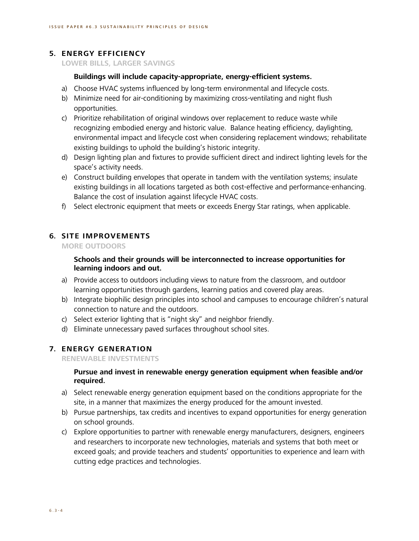# **5. ENERGY EFFICIENCY**

**LOWER BILLS, LARGER SAVINGS**

### **Buildings will include capacity-appropriate, energy-efficient systems.**

- a) Choose HVAC systems influenced by long-term environmental and lifecycle costs.
- b) Minimize need for air-conditioning by maximizing cross-ventilating and night flush opportunities.
- c) Prioritize rehabilitation of original windows over replacement to reduce waste while recognizing embodied energy and historic value. Balance heating efficiency, daylighting, environmental impact and lifecycle cost when considering replacement windows; rehabilitate existing buildings to uphold the building's historic integrity.
- d) Design lighting plan and fixtures to provide sufficient direct and indirect lighting levels for the space's activity needs.
- e) Construct building envelopes that operate in tandem with the ventilation systems; insulate existing buildings in all locations targeted as both cost-effective and performance-enhancing. Balance the cost of insulation against lifecycle HVAC costs.
- f) Select electronic equipment that meets or exceeds Energy Star ratings, when applicable.

### **6. SITE IMPROVEMENTS**

**MORE OUTDOORS**

## **Schools and their grounds will be interconnected to increase opportunities for learning indoors and out.**

- a) Provide access to outdoors including views to nature from the classroom, and outdoor learning opportunities through gardens, learning patios and covered play areas.
- b) Integrate biophilic design principles into school and campuses to encourage children's natural connection to nature and the outdoors.
- c) Select exterior lighting that is "night sky" and neighbor friendly.
- d) Eliminate unnecessary paved surfaces throughout school sites.

#### **7. ENERGY GENERATION**

**RENEWABLE INVESTMENTS**

### **Pursue and invest in renewable energy generation equipment when feasible and/or required.**

- a) Select renewable energy generation equipment based on the conditions appropriate for the site, in a manner that maximizes the energy produced for the amount invested.
- b) Pursue partnerships, tax credits and incentives to expand opportunities for energy generation on school grounds.
- c) Explore opportunities to partner with renewable energy manufacturers, designers, engineers and researchers to incorporate new technologies, materials and systems that both meet or exceed goals; and provide teachers and students' opportunities to experience and learn with cutting edge practices and technologies.